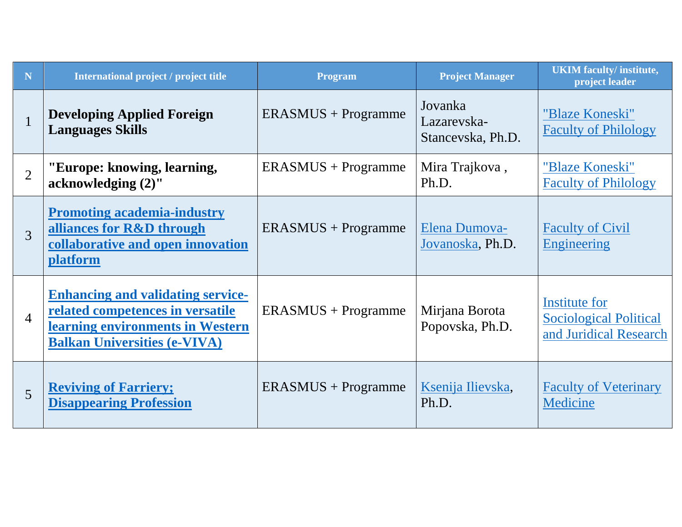| N              | International project / project title                                                                                                                   | <b>Program</b>        | <b>Project Manager</b>                      | <b>UKIM</b> faculty/ institute,<br>project leader                        |
|----------------|---------------------------------------------------------------------------------------------------------------------------------------------------------|-----------------------|---------------------------------------------|--------------------------------------------------------------------------|
| $\mathbf{1}$   | <b>Developing Applied Foreign</b><br><b>Languages Skills</b>                                                                                            | $ERASMUS + Programme$ | Jovanka<br>Lazarevska-<br>Stancevska, Ph.D. | "Blaze Koneski"<br><b>Faculty of Philology</b>                           |
| $\overline{2}$ | "Europe: knowing, learning,<br>acknowledging (2)"                                                                                                       | $ERASMUS + Programme$ | Mira Trajkova,<br>Ph.D.                     | "Blaze Koneski"<br><b>Faculty of Philology</b>                           |
| 3              | <b>Promoting academia-industry</b><br>alliances for R&D through<br>collaborative and open innovation<br><b>platform</b>                                 | $ERASMUS + Programme$ | Elena Dumova-<br>Jovanoska, Ph.D.           | <b>Faculty of Civil</b><br>Engineering                                   |
| $\overline{4}$ | <b>Enhancing and validating service-</b><br>related competences in versatile<br>learning environments in Western<br><b>Balkan Universities (e-VIVA)</b> | $ERASMUS + Programme$ | Mirjana Borota<br>Popovska, Ph.D.           | Institute for<br><b>Sociological Political</b><br>and Juridical Research |
| 5              | <b>Reviving of Farriery;</b><br><b>Disappearing Profession</b>                                                                                          | $ERASMUS + Programme$ | Ksenija Ilievska,<br>Ph.D.                  | <b>Faculty of Veterinary</b><br>Medicine                                 |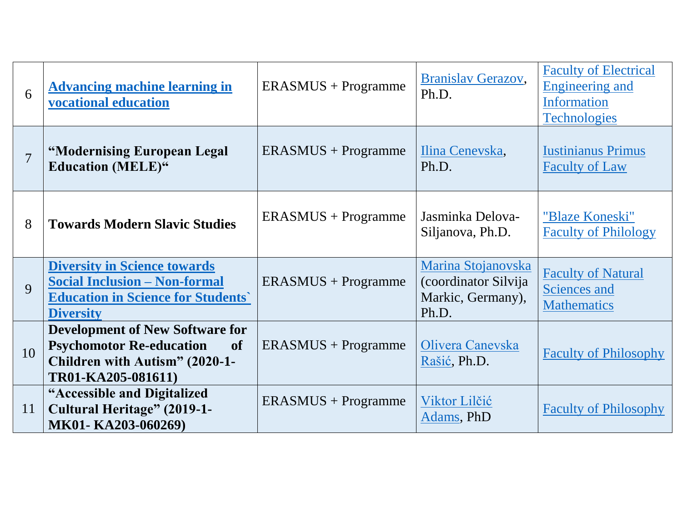| 6              | <b>Advancing machine learning in</b><br>vocational education                                                                                   | $ERASMUS + Programme$ | Branislav Gerazov,<br>Ph.D.                                              | <b>Faculty of Electrical</b><br><b>Engineering and</b><br><b>Information</b><br><b>Technologies</b> |
|----------------|------------------------------------------------------------------------------------------------------------------------------------------------|-----------------------|--------------------------------------------------------------------------|-----------------------------------------------------------------------------------------------------|
| $\overline{7}$ | "Modernising European Legal<br><b>Education (MELE)"</b>                                                                                        | $ERASMUS + Programme$ | Ilina Cenevska,<br>Ph.D.                                                 | <b>Iustinianus Primus</b><br><b>Faculty of Law</b>                                                  |
| 8              | <b>Towards Modern Slavic Studies</b>                                                                                                           | $ERASMUS + Programme$ | Jasminka Delova-<br>Siljanova, Ph.D.                                     | "Blaze Koneski"<br><b>Faculty of Philology</b>                                                      |
| $\mathbf{Q}$   | <b>Diversity in Science towards</b><br><b>Social Inclusion - Non-formal</b><br><b>Education in Science for Students'</b><br><b>Diversity</b>   | $ERASMUS + Programme$ | Marina Stojanovska<br>(coordinator Silvija<br>Markic, Germany),<br>Ph.D. | <b>Faculty of Natural</b><br><b>Sciences and</b><br><b>Mathematics</b>                              |
| 10             | <b>Development of New Software for</b><br><b>Psychomotor Re-education</b><br><b>of</b><br>Children with Autism" (2020-1-<br>TR01-KA205-081611) | $ERASMUS + Programme$ | Olivera Canevska<br>Rašić, Ph.D.                                         | <b>Faculty of Philosophy</b>                                                                        |
| <sup>11</sup>  | "Accessible and Digitalized<br><b>Cultural Heritage" (2019-1-</b><br>MK01-KA203-060269)                                                        | $ERASMUS + Programme$ | Viktor Lilčić<br>Adams, PhD                                              | <b>Faculty of Philosophy</b>                                                                        |